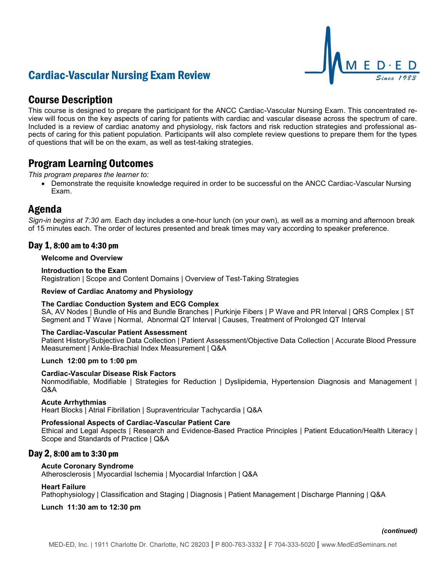# Cardiac-Vascular Nursing Exam Review



# Course Description

This course is designed to prepare the participant for the ANCC Cardiac-Vascular Nursing Exam. This concentrated review will focus on the key aspects of caring for patients with cardiac and vascular disease across the spectrum of care. Included is a review of cardiac anatomy and physiology, risk factors and risk reduction strategies and professional aspects of caring for this patient population. Participants will also complete review questions to prepare them for the types of questions that will be on the exam, as well as test-taking strategies.

# Program Learning Outcomes

*This program prepares the learner to:*

• Demonstrate the requisite knowledge required in order to be successful on the ANCC Cardiac-Vascular Nursing Exam.

# Agenda

*Sign-in begins at 7:30 am.* Each day includes a one-hour lunch (on your own), as well as a morning and afternoon break of 15 minutes each. The order of lectures presented and break times may vary according to speaker preference.

# Day 1, 8:00 am to 4:30 pm

## **Welcome and Overview**

### **Introduction to the Exam**

Registration | Scope and Content Domains | Overview of Test-Taking Strategies

## **Review of Cardiac Anatomy and Physiology**

### **The Cardiac Conduction System and ECG Complex**

SA, AV Nodes | Bundle of His and Bundle Branches | Purkinje Fibers | P Wave and PR Interval | QRS Complex | ST Segment and T Wave | Normal, Abnormal QT Interval | Causes, Treatment of Prolonged QT Interval

# **The Cardiac-Vascular Patient Assessment**

Patient History/Subjective Data Collection | Patient Assessment/Objective Data Collection | Accurate Blood Pressure Measurement | Ankle-Brachial Index Measurement | Q&A

### **Lunch 12:00 pm to 1:00 pm**

### **Cardiac-Vascular Disease Risk Factors**

Nonmodifiable, Modifiable | Strategies for Reduction | Dyslipidemia, Hypertension Diagnosis and Management | Q&A

# **Acute Arrhythmias**

Heart Blocks | Atrial Fibrillation | Supraventricular Tachycardia | Q&A

# **Professional Aspects of Cardiac-Vascular Patient Care**

Ethical and Legal Aspects | Research and Evidence-Based Practice Principles | Patient Education/Health Literacy | Scope and Standards of Practice | Q&A

# Day 2, 8:00 am to 3:30 pm

# **Acute Coronary Syndrome**

Atherosclerosis | Myocardial Ischemia | Myocardial Infarction | Q&A

### **Heart Failure**

Pathophysiology | Classification and Staging | Diagnosis | Patient Management | Discharge Planning | Q&A

### **Lunch 11:30 am to 12:30 pm**